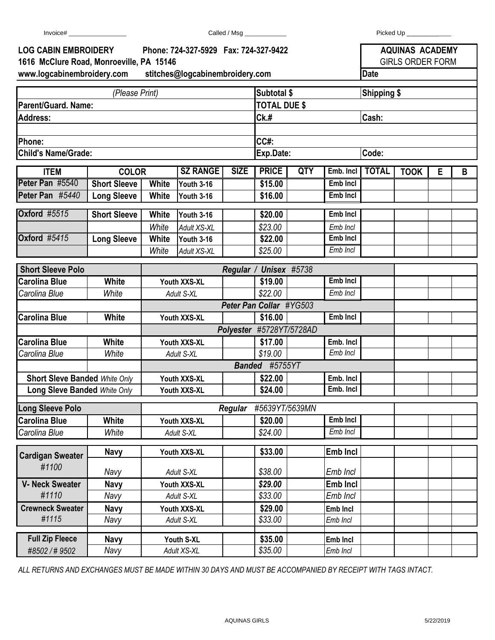| <b>LOG CABIN EMBROIDERY</b><br>Phone: 724-327-5929  Fax: 724-327-9422<br>1616 McClure Road, Monroeville, PA 15146 |                                     |                                |                                 |                |                          |  | <b>AQUINAS ACADEMY</b><br><b>GIRLS ORDER FORM</b> |                    |             |   |   |  |  |
|-------------------------------------------------------------------------------------------------------------------|-------------------------------------|--------------------------------|---------------------------------|----------------|--------------------------|--|---------------------------------------------------|--------------------|-------------|---|---|--|--|
| www.logcabinembroidery.com<br>stitches@logcabinembroidery.com                                                     |                                     |                                |                                 |                |                          |  |                                                   | <b>Date</b>        |             |   |   |  |  |
|                                                                                                                   |                                     |                                |                                 |                | Subtotal \$              |  |                                                   |                    |             |   |   |  |  |
| (Please Print)<br>Parent/Guard. Name:                                                                             |                                     |                                |                                 |                | <b>TOTAL DUE \$</b>      |  |                                                   | <b>Shipping \$</b> |             |   |   |  |  |
| <b>Address:</b>                                                                                                   |                                     |                                |                                 |                | CK.#                     |  |                                                   | Cash:              |             |   |   |  |  |
|                                                                                                                   |                                     |                                |                                 |                |                          |  |                                                   |                    |             |   |   |  |  |
| Phone:                                                                                                            |                                     |                                |                                 |                | CC#:                     |  |                                                   |                    |             |   |   |  |  |
| <b>Child's Name/Grade:</b>                                                                                        |                                     |                                |                                 |                | Exp.Date:                |  |                                                   | Code:              |             |   |   |  |  |
|                                                                                                                   |                                     | <b>SZ RANGE</b><br><b>SIZE</b> |                                 |                | <b>PRICE</b><br>QTY      |  |                                                   | <b>TOTAL</b>       |             |   |   |  |  |
| <b>ITEM</b><br>Peter Pan #5540                                                                                    | <b>COLOR</b><br><b>Short Sleeve</b> | <b>White</b>                   |                                 |                | \$15.00                  |  | Emb. Incl<br>Emb Incl                             |                    | <b>TOOK</b> | E | B |  |  |
| Peter Pan #5440                                                                                                   | <b>Long Sleeve</b>                  | White                          | <b>Youth 3-16</b><br>Youth 3-16 |                | \$16.00                  |  | Emb Incl                                          |                    |             |   |   |  |  |
|                                                                                                                   |                                     |                                |                                 |                |                          |  |                                                   |                    |             |   |   |  |  |
| <b>Oxford #5515</b>                                                                                               | <b>Short Sleeve</b>                 | <b>White</b>                   | Youth 3-16                      |                | \$20.00                  |  | <b>Emb Incl</b>                                   |                    |             |   |   |  |  |
|                                                                                                                   |                                     | White                          | Adult XS-XL                     |                | \$23.00                  |  | Emb Incl                                          |                    |             |   |   |  |  |
| <b>Oxford #5415</b>                                                                                               | <b>Long Sleeve</b>                  | <b>White</b>                   | Youth 3-16                      |                | \$22.00                  |  | <b>Emb Incl</b>                                   |                    |             |   |   |  |  |
|                                                                                                                   |                                     | White                          | Adult XS-XL                     |                | \$25.00                  |  | Emb Incl                                          |                    |             |   |   |  |  |
| <b>Short Sleeve Polo</b>                                                                                          |                                     |                                |                                 | Regular /      | <b>Unisex #5738</b>      |  |                                                   |                    |             |   |   |  |  |
| <b>Carolina Blue</b>                                                                                              | White                               | Youth XXS-XL                   |                                 |                | \$19.00                  |  | Emb Incl                                          |                    |             |   |   |  |  |
| Carolina Blue                                                                                                     | White                               | Adult S-XL                     |                                 |                | \$22.00                  |  | Emb Incl                                          |                    |             |   |   |  |  |
|                                                                                                                   |                                     |                                |                                 |                | Peter Pan Collar #YG503  |  |                                                   |                    |             |   |   |  |  |
| <b>Carolina Blue</b>                                                                                              | White                               | Youth XXS-XL                   |                                 |                | \$16.00                  |  | Emb Incl                                          |                    |             |   |   |  |  |
|                                                                                                                   |                                     |                                |                                 |                | Polyester #5728YT/5728AD |  |                                                   |                    |             |   |   |  |  |
| <b>Carolina Blue</b>                                                                                              | White                               | Youth XXS-XL                   |                                 |                | \$17.00                  |  | Emb. Incl                                         |                    |             |   |   |  |  |
| Carolina Blue                                                                                                     | White                               | Adult S-XL                     |                                 |                | \$19.00                  |  | Emb Incl                                          |                    |             |   |   |  |  |
|                                                                                                                   |                                     | Banded #5755YT                 |                                 |                |                          |  |                                                   |                    |             |   |   |  |  |
| <b>Short Sleve Banded White Only</b>                                                                              |                                     | Youth XXS-XL                   |                                 |                | \$22.00                  |  | Emb. Incl                                         |                    |             |   |   |  |  |
| <b>Long Sleve Banded White Only</b>                                                                               |                                     |                                | Youth XXS-XL                    |                | \$24.00                  |  | Emb. Incl                                         |                    |             |   |   |  |  |
| <b>Long Sleeve Polo</b>                                                                                           |                                     |                                |                                 | <b>Regular</b> | #5639YT/5639MN           |  |                                                   |                    |             |   |   |  |  |
| <b>Carolina Blue</b>                                                                                              | White                               |                                | Youth XXS-XL                    |                | \$20.00                  |  | Emb Incl                                          |                    |             |   |   |  |  |
| Carolina Blue                                                                                                     | White                               |                                | Adult S-XL                      |                | \$24.00                  |  | Emb Incl                                          |                    |             |   |   |  |  |
|                                                                                                                   |                                     |                                |                                 |                |                          |  |                                                   |                    |             |   |   |  |  |
| <b>Cardigan Sweater</b>                                                                                           | <b>Navy</b>                         |                                | Youth XXS-XL                    |                | \$33.00                  |  | <b>Emb Incl</b>                                   |                    |             |   |   |  |  |
| #1100                                                                                                             | Navy                                |                                | Adult S-XL                      |                | \$38.00                  |  | Emb Incl                                          |                    |             |   |   |  |  |
| <b>V- Neck Sweater</b>                                                                                            | <b>Navy</b>                         |                                | Youth XXS-XL                    |                | \$29.00                  |  | <b>Emb Incl</b>                                   |                    |             |   |   |  |  |
| #1110                                                                                                             | Navy                                |                                | Adult S-XL                      |                | \$33.00                  |  | Emb Incl                                          |                    |             |   |   |  |  |
| <b>Crewneck Sweater</b>                                                                                           | <b>Navy</b>                         |                                | Youth XXS-XL                    |                | \$29.00                  |  | Emb Incl                                          |                    |             |   |   |  |  |
| #1115                                                                                                             | Navy                                |                                | Adult S-XL                      |                | \$33.00                  |  | Emb Incl                                          |                    |             |   |   |  |  |
| <b>Full Zip Fleece</b>                                                                                            | <b>Navy</b>                         |                                | Youth S-XL                      |                | \$35.00                  |  | Emb Incl                                          |                    |             |   |   |  |  |
| #8502/#9502                                                                                                       | Navy                                |                                | Adult XS-XL                     |                | \$35.00                  |  | Emb Incl                                          |                    |             |   |   |  |  |
|                                                                                                                   |                                     |                                |                                 |                |                          |  |                                                   |                    |             |   |   |  |  |

*ALL RETURNS AND EXCHANGES MUST BE MADE WITHIN 30 DAYS AND MUST BE ACCOMPANIED BY RECEIPT WITH TAGS INTACT.*